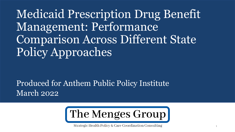Medicaid Prescription Drug Benefit Management: Performance Comparison Across Different State Policy Approaches

Produced for Anthem Public Policy Institute March 2022



Strategic Health Policy & Care Coordination Consulting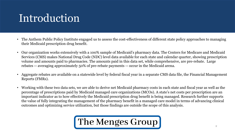# **Introduction**

- The Anthem Public Policy Institute engaged us to assess the cost-effectiveness of different state policy approaches to managing their Medicaid prescription drug benefit.
- Our organization works extensively with a 100% sample of Medicaid's pharmacy data. The Centers for Medicare and Medicaid Services (CMS) makes National Drug Code (NDC) level data available for each state and calendar quarter, showing prescription volume and amounts paid to pharmacies. The amounts paid in this data set, while comprehensive, are pre-rebate. Large rebates -- averaging approximately 50% of pre-rebate payments -- occur in the Medicaid arena.
- Aggregate rebates are available on a statewide level by federal fiscal year in a separate CMS data file, the Financial Management Reports (FMRs).
- Working with these two data sets, we are able to derive net Medicaid pharmacy costs in each state and fiscal year as well as the percentage of prescriptions paid by Medicaid managed care organizations (MCOs). A state's net costs per prescription are an important indicator as to how effectively the Medicaid prescription drug benefit is being managed. Research further supports the value of fully integrating the management of the pharmacy benefit in a managed care model in terms of advancing clinical outcomes and optimizing service utilization, but those findings are outside the scope of this analysis.

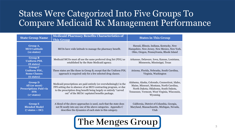#### States Were Categorized Into Five Groups To Compare Medicaid Rx Management Performance

| <b>State Group Name</b>                                                                       | <b>Medicaid Pharmacy Benefits Characteristics of</b><br><b>This Group</b>                                                                                                                                                                                      | <b>States in This Group</b>                                                                                                                                                                      |  |  |  |
|-----------------------------------------------------------------------------------------------|----------------------------------------------------------------------------------------------------------------------------------------------------------------------------------------------------------------------------------------------------------------|--------------------------------------------------------------------------------------------------------------------------------------------------------------------------------------------------|--|--|--|
| Group A,<br><b>MCO Latitude</b><br>(12 states)                                                | MCOs have wide latitude to manage the pharmacy benefit.                                                                                                                                                                                                        | Hawaii, Illinois, Indiana, Kentucky, New<br>Hampshire, New Jersey, New Mexico, New York,<br>Ohio, Oregon, Pennsylvania, Rhode Island                                                             |  |  |  |
| <b>Group B</b><br><b>Uniform PDL</b><br>(8 states)                                            | Medicaid MCOs must all use the same preferred drug list (PDL) as<br>established by the State Medicaid agency.                                                                                                                                                  | Arkansas, Delaware, Iowa, Kansas, Louisiana,<br>Minnesota, Mississippi, Texas                                                                                                                    |  |  |  |
| <b>Group C</b><br><b>Uniform PDL,</b><br><b>Some Classes</b><br>(6 states)                    | These states are like those in Group B, except that the Uniform PDL<br>approach is required only for a few selected drug classes.                                                                                                                              | Arizona, Florida, Nebraska, South Carolina,<br>Virginia, Washington                                                                                                                              |  |  |  |
| <b>Group D</b><br>All (or most)<br><b>Prescriptions Paid via</b><br><b>FFS</b><br>(17 states) | Medicaid prescriptions are paid entirely (or overwhelmingly) in the<br>FFS setting due to absence of an MCO contracting program, or due<br>to the prescription drug benefit being largely or entirely "carved<br>out" of the MCOs' capitated benefits package. | Alabama, Alaska, Colorado, Connecticut, Idaho,<br>Maine, Missouri, Montana, North Carolina,<br>North Dakota, Oklahoma, South Dakota,<br>Tennessee, Vermont, West Virginia, Wisconsin,<br>Wyoming |  |  |  |
| <b>Group E</b><br><b>Blended Model</b><br>$(7 \text{ states} + \text{DC})$                    | A blend of the above approaches is used, such that the state does<br>not fit neatly into any one of the above categories. Appendix C<br>describes the dynamics of each state in this category.                                                                 | California, District of Columbia, Georgia,<br>Maryland, Massachusetts, Michigan, Nevada,<br>Utah                                                                                                 |  |  |  |

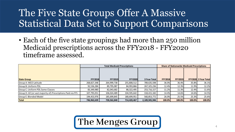# The Five State Groups Offer A Massive Statistical Data Set to Support Comparisons

• Each of the five state groupings had more than 250 million Medicaid prescriptions across the FFY2018 - FFY2020 timeframe assessed.

|                                                               | <b>Total Medicaid Prescriptions</b> |                |                |                     | <b>Share of Nationwide Medicaid Prescriptions</b> |                |        |                      |
|---------------------------------------------------------------|-------------------------------------|----------------|----------------|---------------------|---------------------------------------------------|----------------|--------|----------------------|
| <b>State Group</b>                                            | <b>FFY2018</b>                      | <b>FFY2019</b> | <b>FFY2020</b> | <b>3 Year Total</b> | <b>FFY2018</b>                                    | <b>FFY2019</b> |        | FFY2020 3 Year Total |
|                                                               |                                     |                |                |                     |                                                   |                |        |                      |
| Group A: MCO Latitude                                         | 268,827,348                         | 264,999,738    | 255,808,512    | 789,635,598         | 36.0%                                             | 36.4%          | 35.8%  | 36.1%                |
| Group B: Uniform PDL                                          | 92,536,284                          | 89,795,087     | 84,993,866     | 267,325,236         | 12.4%                                             | 12.3%          | 11.9%  | 12.2%                |
| Group C: Uniform PDL Some Classes                             | 83,349,980                          | 82,043,682     | 88,322,495     | 253,716,157         | 11.2%                                             | 11.3%          | 12.4%  | 11.6%                |
| Group D: All (or vast majority of) Prescriptions Paid via FFS | 107,795,051                         | 106,024,489    | 104,595,642    | 318,415,182         | 14.4%                                             | 14.6%          | 14.6%  | 14.5%                |
| Group E: Blended Model                                        | 194,453,976                         | 185,699,845    | 180,699,951    | 560,853,772         | 26.0%                                             | 25.5%          | 25.3%  | 25.6%                |
| <b>Total</b>                                                  | 746,962,639                         | 728,562,840    | 714,420,467    | 2,189,945,946       | 100.0%                                            | 100.0%         | 100.0% | 100.0%               |

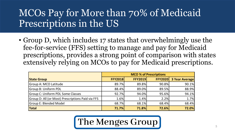## MCOs Pay for More than 70% of Medicaid Prescriptions in the US

• Group D, which includes 17 states that overwhelmingly use the fee-for-service (FFS) setting to manage and pay for Medicaid prescriptions, provides a strong point of comparison with states extensively relying on MCOs to pay for Medicaid prescriptions.

|                                                   | <b>MCO % of Prescriptions</b> |                |                |                       |
|---------------------------------------------------|-------------------------------|----------------|----------------|-----------------------|
| <b>State Group</b>                                | <b>FFY2018</b>                | <b>FFY2019</b> | <b>FFY2020</b> | <b>3 Year Average</b> |
| Group A: MCO Latitude                             | 89.7%                         | 89.8%          | 90.8%          | 90.1%                 |
| <b>Group B: Uniform PDL</b>                       | 88.4%                         | 89.0%          | 89.5%          | 88.9%                 |
| Group C: Uniform PDL Some Classes                 | 92.7%                         | 94.0%          | 95.6%          | 94.1%                 |
| Group D: All (or Most) Prescriptions Paid via FFS | 1.6%                          | 1.4%           | 2.2%           | 1.7%                  |
| <b>Group E: Blended Model</b>                     | 68.7%                         | 68.1%          | 68.4%          | 68.4%                 |
| <b>Total</b>                                      | <b>71.7%</b>                  | <b>71.8%</b>   | 72.6%          | 72.0%                 |

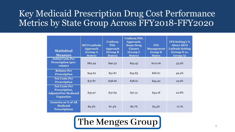#### Key Medicaid Prescription Drug Cost Performance Metrics by State Group Across FFY2018-FFY2020

| <b>Statistical</b><br><b>Measure</b>                                                      | <b>MCO Latitude</b><br><b>Approach</b><br>(Group A<br><b>States</b> ) | <b>Uniform</b><br><b>PDL</b><br><b>Approach</b><br>(Group B)<br><b>States</b> ) | <b>Uniform PDL</b><br>Approach,<br><b>Some Drug</b><br><b>Classes</b><br>(Group C<br><b>States</b> ) | <b>FFS</b><br><b>Management</b><br><b>Group D</b><br><b>States</b> | <b>FFS Setting's %</b><br><b>Above MCO</b><br><b>Latitude Setting</b><br>(Group D vs.<br><b>Group A)</b> |
|-------------------------------------------------------------------------------------------|-----------------------------------------------------------------------|---------------------------------------------------------------------------------|------------------------------------------------------------------------------------------------------|--------------------------------------------------------------------|----------------------------------------------------------------------------------------------------------|
| <b>Initial Costs Per</b><br><b>Prescription (pre-</b><br>rebate)                          | \$82.49                                                               | \$90.52                                                                         | \$93.45                                                                                              | \$112.06                                                           | 35.9%                                                                                                    |
| <b>Rebates Per</b><br><b>Prescription</b>                                                 | \$44.62                                                               | \$51.87                                                                         | \$54.83                                                                                              | \$66.67                                                            | 49.4%                                                                                                    |
| <b>Net Costs Per</b><br><b>Prescription</b>                                               | \$37.87                                                               | \$38.66                                                                         | \$38.61                                                                                              | \$45.40                                                            | 19.9%                                                                                                    |
| <b>Net Costs Per</b><br>Prescription,<br><b>Adjusted for Medicaid</b><br><b>Expansion</b> | \$35.97                                                               | \$37.69                                                                         | \$37.51                                                                                              | \$44.18                                                            | 22.8%                                                                                                    |
| <b>Generics as % of All</b><br><b>Medicaid</b><br><b>Prescriptions</b>                    | 89.3%                                                                 | 87.4%                                                                           | 86.7%                                                                                                | 83.3%                                                              | $-6.7%$                                                                                                  |

## The Menges Group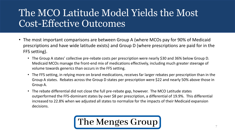## The MCO Latitude Model Yields the Most Cost-Effective Outcomes

- The most important comparisons are between Group A (where MCOs pay for 90% of Medicaid prescriptions and have wide latitude exists) and Group D (where prescriptions are paid for in the FFS setting).
	- The Group A states' collective pre-rebate costs per prescription were nearly \$30 and 36% below Group D. Medicaid MCOs manage the front-end mix of medications effectively, including much greater steerage of volume towards generics than occurs in the FFS setting.
	- The FFS setting, in relying more on brand medications, receives far larger rebates per prescription than in the Group A states. Rebates across the Group D states per prescription were \$22 and nearly 50% above those in Group A.
	- The rebate differential did not close the full pre-rebate gap, however. The MCO Latitude states outperformed the FFS-dominant states by over \$8 per prescription, a differential of 19.9%. This differential increased to 22.8% when we adjusted all states to normalize for the impacts of their Medicaid expansion decisions.

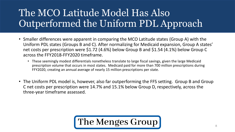# The MCO Latitude Model Has Also Outperformed the Uniform PDL Approach

- Smaller differences were apparent in comparing the MCO Latitude states (Group A) with the Uniform PDL states (Groups B and C). After normalizing for Medicaid expansion, Group A states' net costs per prescription were \$1.72 (4.6%) below Group B and \$1.54 (4.1%) below Group C across the FFY2018-FFY2020 timeframe.
	- These seemingly modest differentials nonetheless translate to large fiscal savings, given the large Medicaid prescription volume that occurs in most states. Medicaid paid for more than 700 million prescriptions during FFY2020, creating an annual average of nearly 15 million prescriptions per state.
- The Uniform PDL model is, however, also far outperforming the FFS setting. Group B and Group C net costs per prescription were 14.7% and 15.1% below Group D, respectively, across the three-year timeframe assessed.